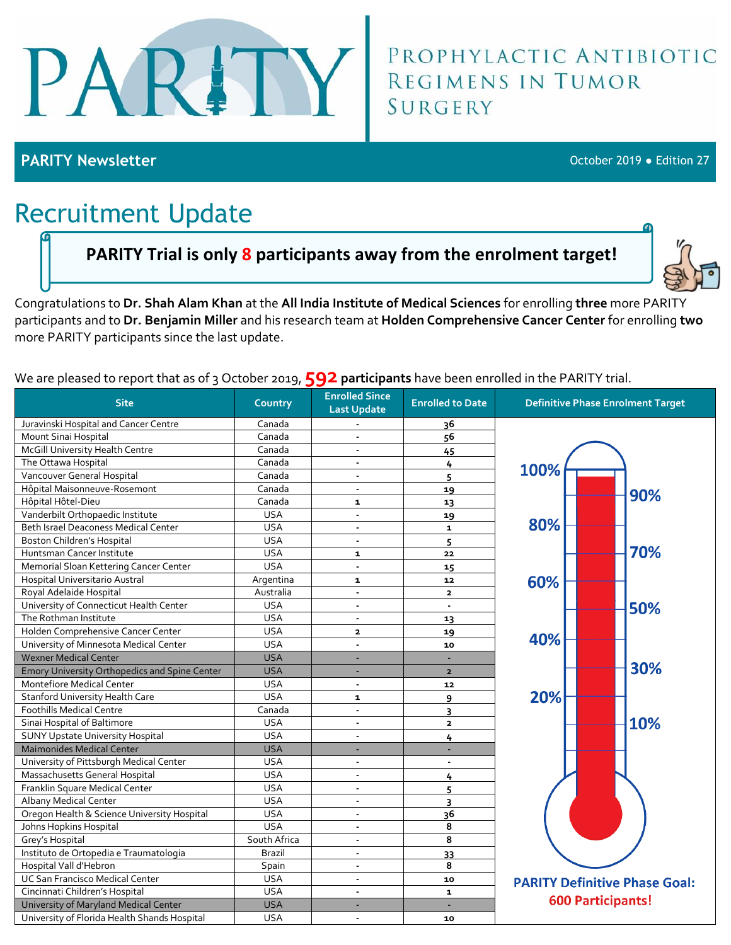

# PROPHYLACTIC ANTIBIOTIC<br>REGIMENS IN TUMOR **SURGERY**

**PARITY Newsletter** October 2019 ● Edition 27

## Recruitment Update

#### **PARITY Trial is only 8 participants away from the enrolment target!**



Congratulations to **Dr. Shah Alam Khan** at the **All India Institute of Medical Sciences** for enrolling **three** more PARITY participants and to **Dr. Benjamin Miller** and his research team at **Holden Comprehensive Cancer Center** for enrolling **two** more PARITY participants since the last update.

We are pleased to report that as of 3 October 2019, **592 participants** have been enrolled in the PARITY trial.

| <b>Site</b>                                   | Country      | <b>Enrolled Since</b><br><b>Last Update</b> | <b>Enrolled to Date</b> | <b>Definitive Phase Enrolment Target</b> |
|-----------------------------------------------|--------------|---------------------------------------------|-------------------------|------------------------------------------|
| Juravinski Hospital and Cancer Centre         | Canada       |                                             | 36                      |                                          |
| Mount Sinai Hospital                          | Canada       |                                             | 56                      |                                          |
| McGill University Health Centre               | Canada       | $\blacksquare$                              | 45                      |                                          |
| The Ottawa Hospital                           | Canada       | $\blacksquare$                              | 4                       | 100%                                     |
| Vancouver General Hospital                    | Canada       | $\overline{\phantom{a}}$                    | 5                       |                                          |
| Hôpital Maisonneuve-Rosemont                  | Canada       | $\overline{\phantom{a}}$                    | 19                      | 90%                                      |
| Hôpital Hôtel-Dieu                            | Canada       | $\mathbf{1}$                                | 13                      |                                          |
| Vanderbilt Orthopaedic Institute              | <b>USA</b>   | $\blacksquare$                              | 19                      |                                          |
| Beth Israel Deaconess Medical Center          | <b>USA</b>   | $\overline{\phantom{a}}$                    | $\mathbf{1}$            | 80%                                      |
| <b>Boston Children's Hospital</b>             | <b>USA</b>   | $\blacksquare$                              | 5                       |                                          |
| Huntsman Cancer Institute                     | <b>USA</b>   | $\mathbf{1}$                                | 22                      | 70%                                      |
| Memorial Sloan Kettering Cancer Center        | <b>USA</b>   | L.                                          | 15                      |                                          |
| Hospital Universitario Austral                | Argentina    | $\mathbf{1}$                                | 12                      | 60%                                      |
| Royal Adelaide Hospital                       | Australia    | $\blacksquare$                              | $\overline{2}$          |                                          |
| University of Connecticut Health Center       | <b>USA</b>   | $\blacksquare$                              | $\overline{a}$          | 50%                                      |
| The Rothman Institute                         | <b>USA</b>   | $\blacksquare$                              | 13                      |                                          |
| Holden Comprehensive Cancer Center            | <b>USA</b>   | $\mathbf{z}$                                | 19                      |                                          |
| University of Minnesota Medical Center        | <b>USA</b>   | $\blacksquare$                              | 10                      | 40%                                      |
| <b>Wexner Medical Center</b>                  | <b>USA</b>   |                                             |                         |                                          |
| Emory University Orthopedics and Spine Center | <b>USA</b>   | ä,                                          | $\overline{2}$          | 30%                                      |
| Montefiore Medical Center                     | <b>USA</b>   | $\blacksquare$                              | 12                      |                                          |
| <b>Stanford University Health Care</b>        | <b>USA</b>   | $\mathbf{1}$                                | 9                       | 20%                                      |
| <b>Foothills Medical Centre</b>               | Canada       | $\blacksquare$                              | 3                       |                                          |
| Sinai Hospital of Baltimore                   | <b>USA</b>   | $\overline{\phantom{a}}$                    | $\overline{2}$          | 10%                                      |
| <b>SUNY Upstate University Hospital</b>       | <b>USA</b>   | $\overline{\phantom{a}}$                    | 4                       |                                          |
| <b>Maimonides Medical Center</b>              | <b>USA</b>   |                                             |                         |                                          |
| University of Pittsburgh Medical Center       | <b>USA</b>   | $\blacksquare$                              | $\sim$                  |                                          |
| Massachusetts General Hospital                | <b>USA</b>   | $\overline{\phantom{a}}$                    | 4                       |                                          |
| Franklin Square Medical Center                | <b>USA</b>   | $\blacksquare$                              | 5                       |                                          |
| Albany Medical Center                         | <b>USA</b>   | $\overline{a}$                              | 3                       |                                          |
| Oregon Health & Science University Hospital   | <b>USA</b>   | $\overline{\phantom{a}}$                    | 36                      |                                          |
| Johns Hopkins Hospital                        | <b>USA</b>   | $\blacksquare$                              | 8                       |                                          |
| Grey's Hospital                               | South Africa | $\blacksquare$                              | 8                       |                                          |
| Instituto de Ortopedia e Traumatologia        | Brazil       | $\blacksquare$                              | 33                      |                                          |
| Hospital Vall d'Hebron                        | Spain        | $\overline{\phantom{a}}$                    | 8                       |                                          |
| <b>UC San Francisco Medical Center</b>        | <b>USA</b>   | $\blacksquare$                              | 10                      | <b>PARITY Definitive Phase Goal:</b>     |
| Cincinnati Children's Hospital                | <b>USA</b>   | $\blacksquare$                              | $\mathbf{1}$            |                                          |
| University of Maryland Medical Center         | <b>USA</b>   |                                             |                         | <b>600 Participants!</b>                 |
| University of Florida Health Shands Hospital  | <b>USA</b>   | $\blacksquare$                              | 10                      |                                          |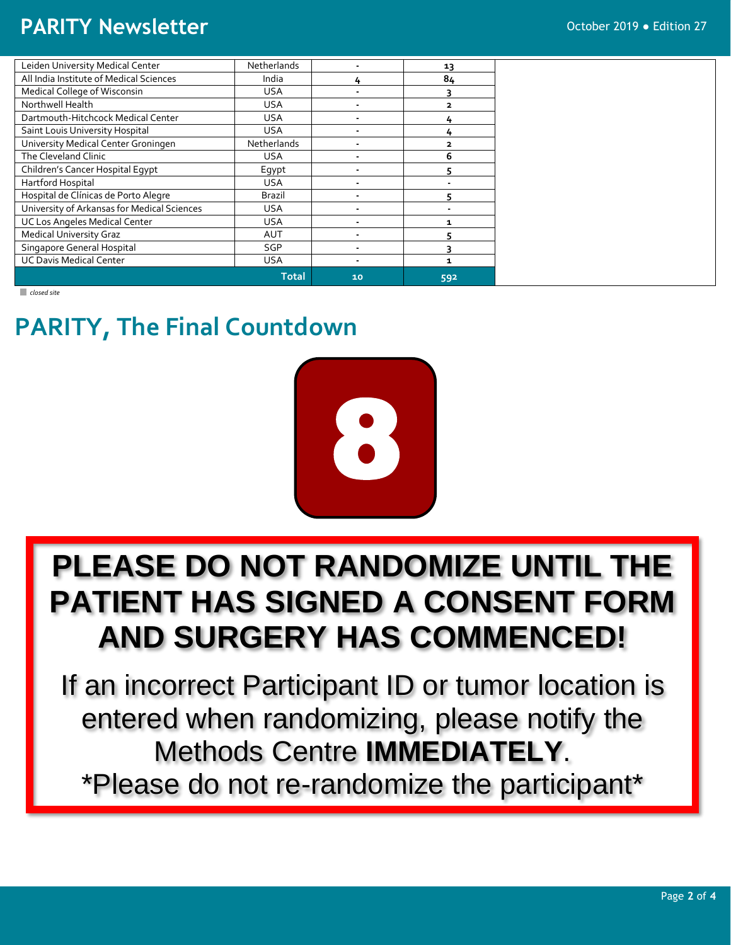#### **PARITY Newsletter Constitution 27** October 2019 • Edition 27

| Leiden University Medical Center            | Netherlands  |    | 13                      |
|---------------------------------------------|--------------|----|-------------------------|
| All India Institute of Medical Sciences     | India        |    | 84                      |
| Medical College of Wisconsin                | <b>USA</b>   |    | 3                       |
| Northwell Health                            | <b>USA</b>   |    | $\overline{\mathbf{2}}$ |
| Dartmouth-Hitchcock Medical Center          | <b>USA</b>   |    | 4                       |
| Saint Louis University Hospital             | <b>USA</b>   |    | 4                       |
| University Medical Center Groningen         | Netherlands  |    | $\overline{\mathbf{z}}$ |
| The Cleveland Clinic                        | <b>USA</b>   |    | 6                       |
| Children's Cancer Hospital Egypt            | Eqypt        |    |                         |
| Hartford Hospital                           | <b>USA</b>   |    |                         |
| Hospital de Clínicas de Porto Alegre        | Brazil       |    | 5                       |
| University of Arkansas for Medical Sciences | <b>USA</b>   |    |                         |
| <b>UC Los Angeles Medical Center</b>        | <b>USA</b>   |    | 1.                      |
| <b>Medical University Graz</b>              | <b>AUT</b>   |    | 5                       |
| Singapore General Hospital                  | SGP          |    | っ                       |
| <b>UC Davis Medical Center</b>              | <b>USA</b>   |    | 1                       |
|                                             | <b>Total</b> | 10 | 592                     |

*closed site*

## **PARITY, The Final Countdown**



## **PLEASE DO NOT RANDOMIZE UNTIL THE PATIENT HAS SIGNED A CONSENT FORM AND SURGERY HAS COMMENCED!**

If an incorrect Participant ID or tumor location is entered when randomizing, please notify the Methods Centre **IMMEDIATELY**. \*Please do not re-randomize the participant\*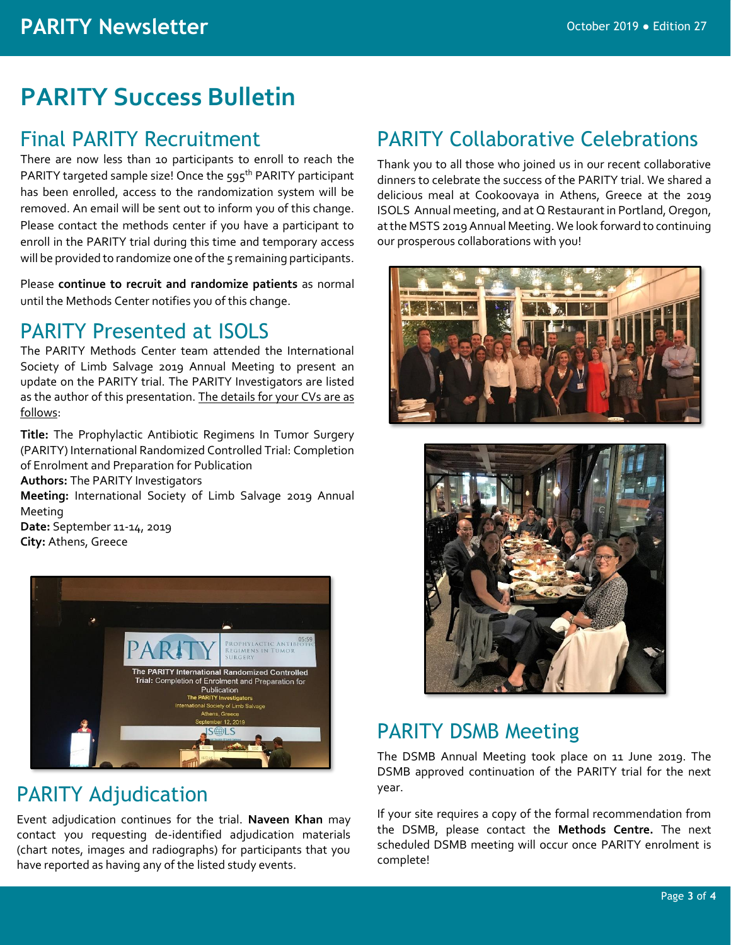## **PARITY Success Bulletin**

#### Final PARITY Recruitment

There are now less than 10 participants to enroll to reach the PARITY targeted sample size! Once the 595<sup>th</sup> PARITY participant has been enrolled, access to the randomization system will be removed. An email will be sent out to inform you of this change. Please contact the methods center if you have a participant to enroll in the PARITY trial during this time and temporary access will be provided to randomize one of the 5 remaining participants.

Please **continue to recruit and randomize patients** as normal until the Methods Center notifies you of this change.

#### PARITY Presented at ISOLS

The PARITY Methods Center team attended the International Society of Limb Salvage 2019 Annual Meeting to present an update on the PARITY trial. The PARITY Investigators are listed as the author of this presentation. The details for your CVs are as follows:

**Title:** The Prophylactic Antibiotic Regimens In Tumor Surgery (PARITY) International Randomized Controlled Trial: Completion of Enrolment and Preparation for Publication

#### **Authors:** The PARITY Investigators

**Meeting:** International Society of Limb Salvage 2019 Annual Meeting

**Date:** September 11-14, 2019 **City:** Athens, Greece



#### PARITY Adjudication

Event adjudication continues for the trial. **Naveen Khan** may contact you requesting de-identified adjudication materials (chart notes, images and radiographs) for participants that you have reported as having any of the listed study events.

#### PARITY Collaborative Celebrations

Thank you to all those who joined us in our recent collaborative dinners to celebrate the success of the PARITY trial. We shared a delicious meal at Cookoovaya in Athens, Greece at the 2019 ISOLS Annual meeting, and at Q Restaurant in Portland, Oregon, at the MSTS 2019 Annual Meeting. We look forward to continuing our prosperous collaborations with you!





#### PARITY DSMB Meeting

The DSMB Annual Meeting took place on 11 June 2019. The DSMB approved continuation of the PARITY trial for the next year.

If your site requires a copy of the formal recommendation from the DSMB, please contact the **Methods Centre.** The next scheduled DSMB meeting will occur once PARITY enrolment is complete!